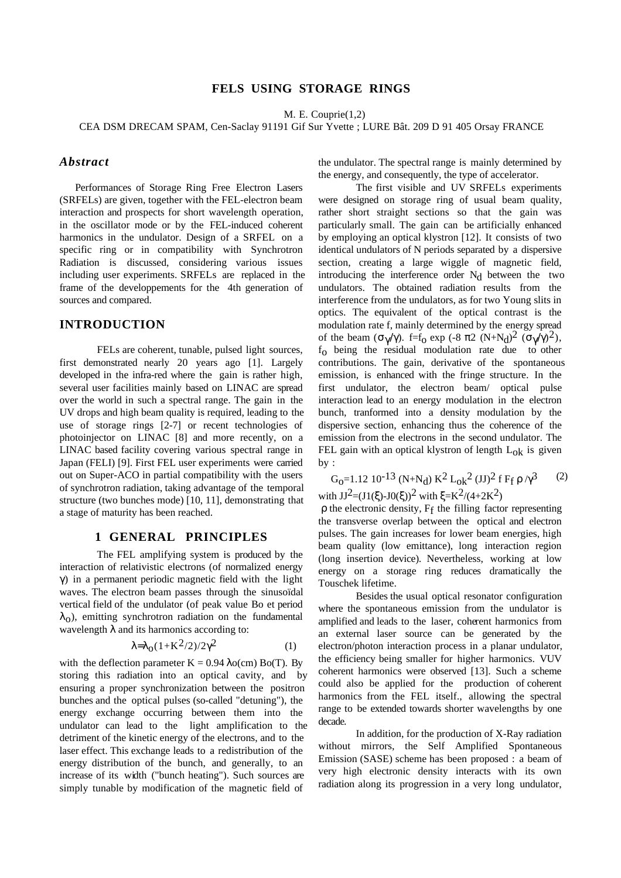# **FELS USING STORAGE RINGS**

M. E. Couprie(1,2)

CEA DSM DRECAM SPAM, Cen-Saclay 91191 Gif Sur Yvette ; LURE Bât. 209 D 91 405 Orsay FRANCE

## *Abstract*

Performances of Storage Ring Free Electron Lasers (SRFELs) are given, together with the FEL-electron beam interaction and prospects for short wavelength operation, in the oscillator mode or by the FEL-induced coherent harmonics in the undulator. Design of a SRFEL on a specific ring or in compatibility with Synchrotron Radiation is discussed, considering various issues including user experiments. SRFELs are replaced in the frame of the developpements for the 4th generation of sources and compared.

## **INTRODUCTION**

FELs are coherent, tunable, pulsed light sources, first demonstrated nearly 20 years ago [1]. Largely developed in the infra-red where the gain is rather high, several user facilities mainly based on LINAC are spread over the world in such a spectral range. The gain in the UV drops and high beam quality is required, leading to the use of storage rings [2-7] or recent technologies of photoinjector on LINAC [8] and more recently, on a LINAC based facility covering various spectral range in Japan (FELI) [9]. First FEL user experiments were carried out on Super-ACO in partial compatibility with the users of synchrotron radiation, taking advantage of the temporal structure (two bunches mode) [10, 11], demonstrating that a stage of maturity has been reached.

## **1 GENERAL PRINCIPLES**

The FEL amplifying system is produced by the interaction of relativistic electrons (of normalized energy γ) in a permanent periodic magnetic field with the light waves. The electron beam passes through the sinusoïdal vertical field of the undulator (of peak value Bo et period  $\lambda_0$ ), emitting synchrotron radiation on the fundamental wavelength  $\lambda$  and its harmonics according to:

$$
\lambda = \lambda_0 (1 + K^2 / 2) / 2 \gamma^2 \tag{1}
$$

with the deflection parameter  $K = 0.94 \lambda o(cm) Bo(T)$ . By storing this radiation into an optical cavity, and by ensuring a proper synchronization between the positron bunches and the optical pulses (so-called "detuning"), the energy exchange occurring between them into the undulator can lead to the light amplification to the detriment of the kinetic energy of the electrons, and to the laser effect. This exchange leads to a redistribution of the energy distribution of the bunch, and generally, to an increase of its width ("bunch heating"). Such sources are simply tunable by modification of the magnetic field of

the undulator. The spectral range is mainly determined by the energy, and consequently, the type of accelerator.

The first visible and UV SRFELs experiments were designed on storage ring of usual beam quality, rather short straight sections so that the gain was particularly small. The gain can be artificially enhanced by employing an optical klystron [12]. It consists of two identical undulators of N periods separated by a dispersive section, creating a large wiggle of magnetic field, introducing the interference order  $N_d$  between the two undulators. The obtained radiation results from the interference from the undulators, as for two Young slits in optics. The equivalent of the optical contrast is the modulation rate f, mainly determined by the energy spread of the beam  $(\sigma_{\gamma}/\gamma)$ . f=f<sub>0</sub> exp (-8  $\pi$ 2 (N+N<sub>d</sub>)<sup>2</sup> ( $\sigma_{\gamma}/\gamma$ )<sup>2</sup>), fo being the residual modulation rate due to other contributions. The gain, derivative of the spontaneous emission, is enhanced with the fringe structure. In the first undulator, the electron beam/ optical pulse interaction lead to an energy modulation in the electron bunch, tranformed into a density modulation by the dispersive section, enhancing thus the coherence of the emission from the electrons in the second undulator. The FEL gain with an optical klystron of length  $L_{ok}$  is given by :

 $G_0=1.12 \ 10^{-13} \ (N+N_d) \ K^2 \ L_0 k^2 \ (JJ)^2 \ f \ F_f \ \rho \ / \gamma^3$  (2) with  $JJ^2=(J1(\xi)-J0(\xi))^2$  with  $\xi=K^2/(4+2K^2)$ 

ρ the electronic density, Ff the filling factor representing the transverse overlap between the optical and electron pulses. The gain increases for lower beam energies, high beam quality (low emittance), long interaction region (long insertion device). Nevertheless, working at low energy on a storage ring reduces dramatically the Touschek lifetime.

Besides the usual optical resonator configuration where the spontaneous emission from the undulator is amplified and leads to the laser, coherent harmonics from an external laser source can be generated by the electron/photon interaction process in a planar undulator, the efficiency being smaller for higher harmonics. VUV coherent harmonics were observed [13]. Such a scheme could also be applied for the production of coherent harmonics from the FEL itself., allowing the spectral range to be extended towards shorter wavelengths by one decade.

In addition, for the production of X-Ray radiation without mirrors, the Self Amplified Spontaneous Emission (SASE) scheme has been proposed : a beam of very high electronic density interacts with its own radiation along its progression in a very long undulator,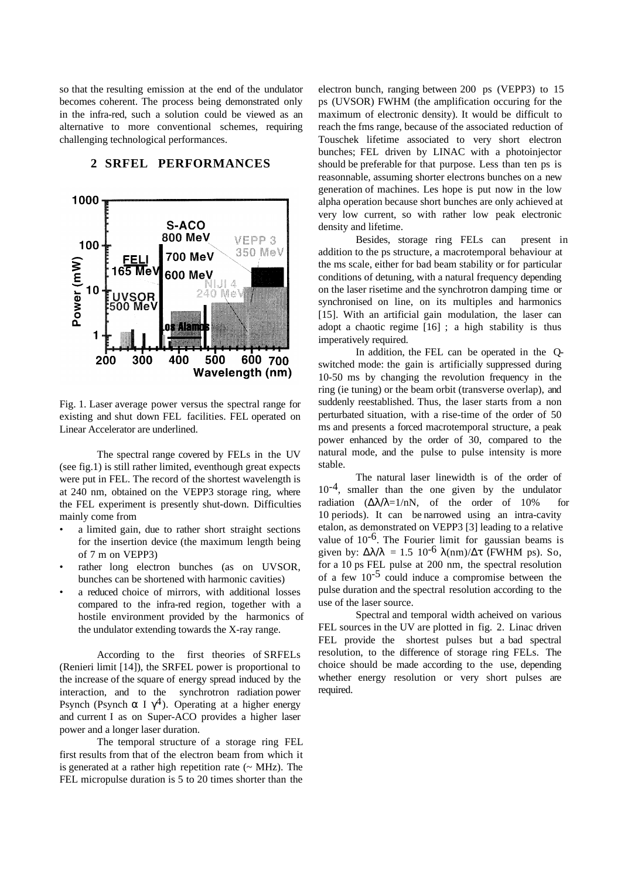so that the resulting emission at the end of the undulator becomes coherent. The process being demonstrated only in the infra-red, such a solution could be viewed as an alternative to more conventional schemes, requiring challenging technological performances.

#### 1000 S-ACO 800 MeV VEPP 3 100 350 MeV **700 MeV** FELI Power (mW) 165 Me\ 600 MeV 10 ii e v **JVSOR<br>00 Me1** Hari 1 200 300 400 500 600 700 Wavelength (nm)

### **2 SRFEL PERFORMANCES**

Fig. 1. Laser average power versus the spectral range for existing and shut down FEL facilities. FEL operated on Linear Accelerator are underlined.

The spectral range covered by FELs in the UV (see fig.1) is still rather limited, eventhough great expects were put in FEL. The record of the shortest wavelength is at 240 nm, obtained on the VEPP3 storage ring, where the FEL experiment is presently shut-down. Difficulties mainly come from

- a limited gain, due to rather short straight sections for the insertion device (the maximum length being of 7 m on VEPP3)
- rather long electron bunches (as on UVSOR, bunches can be shortened with harmonic cavities)
- a reduced choice of mirrors, with additional losses compared to the infra-red region, together with a hostile environment provided by the harmonics of the undulator extending towards the X-ray range.

According to the first theories of SRFELs (Renieri limit [14]), the SRFEL power is proportional to the increase of the square of energy spread induced by the interaction, and to the synchrotron radiation power Psynch (Psynch  $\alpha$  I  $\gamma$ <sup>4</sup>). Operating at a higher energy and current I as on Super-ACO provides a higher laser power and a longer laser duration.

The temporal structure of a storage ring FEL first results from that of the electron beam from which it is generated at a rather high repetition rate  $({\sim MHz})$ . The FEL micropulse duration is 5 to 20 times shorter than the

electron bunch, ranging between 200 ps (VEPP3) to 15 ps (UVSOR) FWHM (the amplification occuring for the maximum of electronic density). It would be difficult to reach the fms range, because of the associated reduction of Touschek lifetime associated to very short electron bunches; FEL driven by LINAC with a photoinjector should be preferable for that purpose. Less than ten ps is reasonnable, assuming shorter electrons bunches on a new generation of machines. Les hope is put now in the low alpha operation because short bunches are only achieved at very low current, so with rather low peak electronic density and lifetime.

Besides, storage ring FELs can present in addition to the ps structure, a macrotemporal behaviour at the ms scale, either for bad beam stability or for particular conditions of detuning, with a natural frequency depending on the laser risetime and the synchrotron damping time or synchronised on line, on its multiples and harmonics [15]. With an artificial gain modulation, the laser can adopt a chaotic regime [16] ; a high stability is thus imperatively required.

In addition, the FEL can be operated in the Qswitched mode: the gain is artificially suppressed during 10-50 ms by changing the revolution frequency in the ring (ie tuning) or the beam orbit (transverse overlap), and suddenly reestablished. Thus, the laser starts from a non perturbated situation, with a rise-time of the order of 50 ms and presents a forced macrotemporal structure, a peak power enhanced by the order of 30, compared to the natural mode, and the pulse to pulse intensity is more stable.

 The natural laser linewidth is of the order of  $10^{-4}$ , smaller than the one given by the undulator radiation  $(\Delta \lambda / \lambda = 1/nN)$ , of the order of 10% for 10 periods). It can be narrowed using an intra-cavity etalon, as demonstrated on VEPP3 [3] leading to a relative value of  $10^{-6}$ . The Fourier limit for gaussian beams is given by:  $\Delta \lambda / \lambda = 1.5 \cdot 10^{-6} \lambda (nm) / \Delta \tau$  (FWHM ps). So, for a 10 ps FEL pulse at 200 nm, the spectral resolution of a few  $10^{-5}$  could induce a compromise between the pulse duration and the spectral resolution according to the use of the laser source.

Spectral and temporal width acheived on various FEL sources in the UV are plotted in fig. 2. Linac driven FEL provide the shortest pulses but a bad spectral resolution, to the difference of storage ring FELs. The choice should be made according to the use, depending whether energy resolution or very short pulses are required.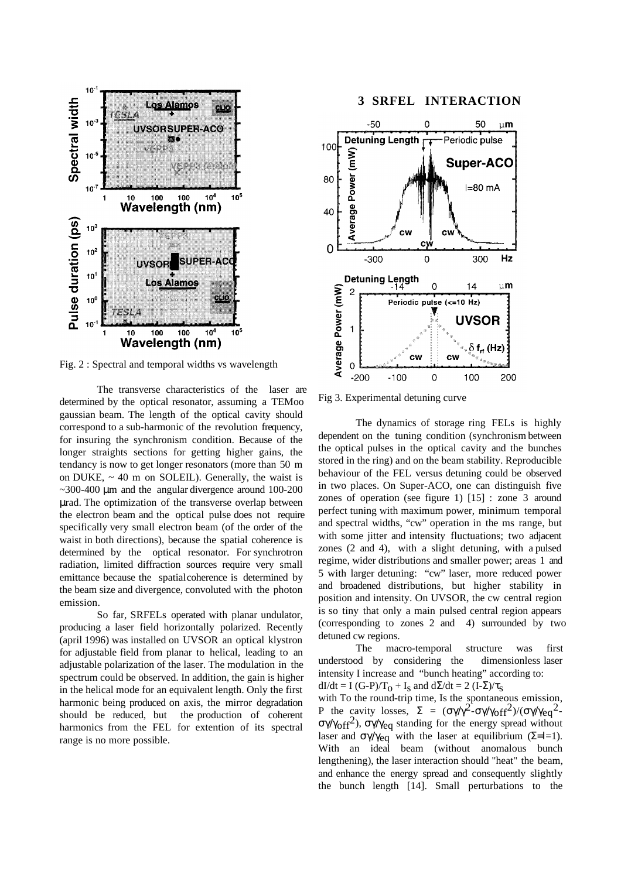

Fig. 2 : Spectral and temporal widths vs wavelength

The transverse characteristics of the laser are determined by the optical resonator, assuming a TEMoo gaussian beam. The length of the optical cavity should correspond to a sub-harmonic of the revolution frequency, for insuring the synchronism condition. Because of the longer straights sections for getting higher gains, the tendancy is now to get longer resonators (more than 50 m on DUKE,  $\sim$  40 m on SOLEIL). Generally, the waist is  $\sim$ 300-400 µm and the angular divergence around 100-200 µrad. The optimization of the transverse overlap between the electron beam and the optical pulse does not require specifically very small electron beam (of the order of the waist in both directions), because the spatial coherence is determined by the optical resonator. For synchrotron radiation, limited diffraction sources require very small emittance because the spatial coherence is determined by the beam size and divergence, convoluted with the photon emission.

So far, SRFELs operated with planar undulator, producing a laser field horizontally polarized. Recently (april 1996) was installed on UVSOR an optical klystron for adjustable field from planar to helical, leading to an adjustable polarization of the laser. The modulation in the spectrum could be observed. In addition, the gain is higher in the helical mode for an equivalent length. Only the first harmonic being produced on axis, the mirror degradation should be reduced, but the production of coherent harmonics from the FEL for extention of its spectral range is no more possible.

## **3 SRFEL INTERACTION**



Fig 3. Experimental detuning curve

The dynamics of storage ring FELs is highly dependent on the tuning condition (synchronism between the optical pulses in the optical cavity and the bunches stored in the ring) and on the beam stability. Reproducible behaviour of the FEL versus detuning could be observed in two places. On Super-ACO, one can distinguish five zones of operation (see figure 1) [15] : zone 3 around perfect tuning with maximum power, minimum temporal and spectral widths, "cw" operation in the ms range, but with some jitter and intensity fluctuations; two adjacent zones (2 and 4), with a slight detuning, with a pulsed regime, wider distributions and smaller power; areas 1 and 5 with larger detuning: "cw" laser, more reduced power and broadened distributions, but higher stability in position and intensity. On UVSOR, the cw central region is so tiny that only a main pulsed central region appears (corresponding to zones 2 and 4) surrounded by two detuned cw regions.

The macro-temporal structure was first understood by considering the dimensionless laser intensity I increase and "bunch heating" according to: dI/dt = I (G-P)/T<sub>O</sub> + I<sub>S</sub> and d $\Sigma$ /dt = 2 (I- $\Sigma$ )/ $\tau_S$ 

with To the round-trip time, Is the spontaneous emission, P the cavity losses,  $\Sigma = (\sigma \gamma / \gamma^2 - \sigma \gamma / \gamma_{\text{off}}^2) / (\sigma \gamma / \gamma_{\text{eq}}^2)$ σγ/γ<sub>off</sub><sup>2</sup>), σγ/γ<sub>eq</sub> standing for the energy spread without laser and  $\sigma\gamma/\gamma_{eq}$  with the laser at equilibrium ( $\Sigma$ =I=1). With an ideal beam (without anomalous bunch lengthening), the laser interaction should "heat" the beam, and enhance the energy spread and consequently slightly the bunch length [14]. Small perturbations to the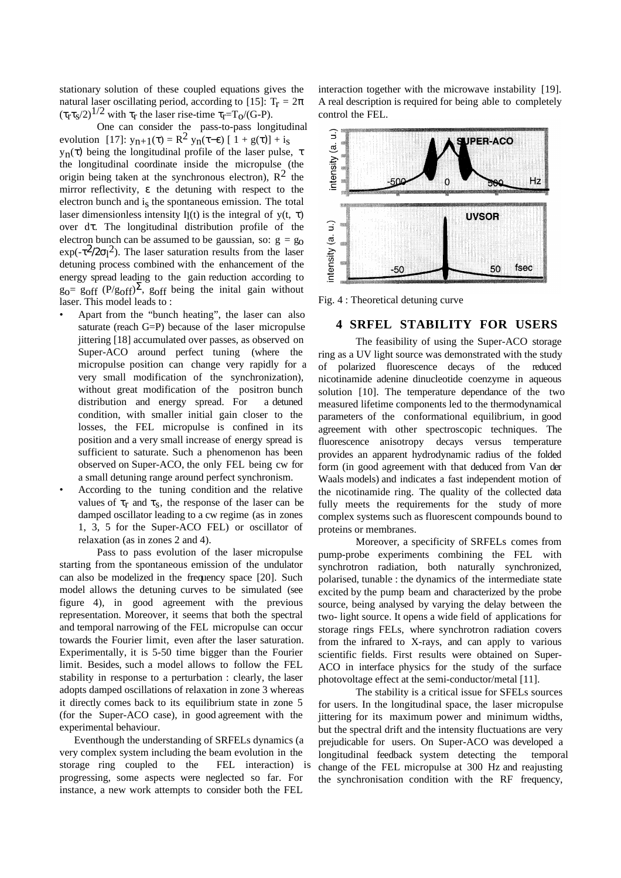stationary solution of these coupled equations gives the natural laser oscillating period, according to [15]:  $T_r = 2\pi$  $(\tau_r \tau_s/2)^{1/2}$  with  $\tau_r$  the laser rise-time  $\tau_r = T_0/(G-P)$ .

One can consider the pass-to-pass longitudinal evolution [17]:  $y_{n+1}(\tau) = R^2 y_n(\tau-\epsilon) [1 + g(\tau)] + i_S$ yn(τ) being the longitudinal profile of the laser pulse, τ the longitudinal coordinate inside the micropulse (the origin being taken at the synchronous electron),  $\mathbb{R}^2$  the mirror reflectivity, ε the detuning with respect to the electron bunch and is the spontaneous emission. The total laser dimensionless intensity I<sub>l</sub>(t) is the integral of y(t,  $\tau$ ) over dτ. The longitudinal distribution profile of the electron bunch can be assumed to be gaussian, so:  $g = g_0$  $\exp(-\tau^2/2\sigma)^2$ ). The laser saturation results from the laser detuning process combined with the enhancement of the energy spread leading to the gain reduction according to  $g_0$ = g<sub>off</sub> (P/g<sub>off</sub>)<sup> $\Sigma$ </sup>, g<sub>off</sub> being the initial gain without laser. This model leads to :

- Apart from the "bunch heating", the laser can also saturate (reach G=P) because of the laser micropulse jittering [18] accumulated over passes, as observed on Super-ACO around perfect tuning (where the micropulse position can change very rapidly for a very small modification of the synchronization), without great modification of the positron bunch distribution and energy spread. For a detuned condition, with smaller initial gain closer to the losses, the FEL micropulse is confined in its position and a very small increase of energy spread is sufficient to saturate. Such a phenomenon has been observed on Super-ACO, the only FEL being cw for a small detuning range around perfect synchronism.
- According to the tuning condition and the relative values of  $\tau_r$  and  $\tau_s$ , the response of the laser can be damped oscillator leading to a cw regime (as in zones 1, 3, 5 for the Super-ACO FEL) or oscillator of relaxation (as in zones 2 and 4).

Pass to pass evolution of the laser micropulse starting from the spontaneous emission of the undulator can also be modelized in the frequency space [20]. Such model allows the detuning curves to be simulated (see figure 4), in good agreement with the previous representation. Moreover, it seems that both the spectral and temporal narrowing of the FEL micropulse can occur towards the Fourier limit, even after the laser saturation. Experimentally, it is 5-50 time bigger than the Fourier limit. Besides, such a model allows to follow the FEL stability in response to a perturbation : clearly, the laser adopts damped oscillations of relaxation in zone 3 whereas it directly comes back to its equilibrium state in zone 5 (for the Super-ACO case), in good agreement with the experimental behaviour.

Eventhough the understanding of SRFELs dynamics (a very complex system including the beam evolution in the storage ring coupled to the FEL interaction) is progressing, some aspects were neglected so far. For instance, a new work attempts to consider both the FEL

interaction together with the microwave instability [19]. A real description is required for being able to completely control the FEL.



Fig. 4 : Theoretical detuning curve

## **4 SRFEL STABILITY FOR USERS**

The feasibility of using the Super-ACO storage ring as a UV light source was demonstrated with the study of polarized fluorescence decays of the reduced nicotinamide adenine dinucleotide coenzyme in aqueous solution [10]. The temperature dependance of the two measured lifetime components led to the thermodynamical parameters of the conformational equilibrium, in good agreement with other spectroscopic techniques. The fluorescence anisotropy decays versus temperature provides an apparent hydrodynamic radius of the folded form (in good agreement with that deduced from Van der Waals models) and indicates a fast independent motion of the nicotinamide ring. The quality of the collected data fully meets the requirements for the study of more complex systems such as fluorescent compounds bound to proteins or membranes.

Moreover, a specificity of SRFELs comes from pump-probe experiments combining the FEL with synchrotron radiation, both naturally synchronized, polarised, tunable : the dynamics of the intermediate state excited by the pump beam and characterized by the probe source, being analysed by varying the delay between the two- light source. It opens a wide field of applications for storage rings FELs, where synchrotron radiation covers from the infrared to X-rays, and can apply to various scientific fields. First results were obtained on Super-ACO in interface physics for the study of the surface photovoltage effect at the semi-conductor/metal [11].

The stability is a critical issue for SFELs sources for users. In the longitudinal space, the laser micropulse jittering for its maximum power and minimum widths, but the spectral drift and the intensity fluctuations are very prejudicable for users. On Super-ACO was developed a longitudinal feedback system detecting the temporal change of the FEL micropulse at 300 Hz and reajusting the synchronisation condition with the RF frequency,